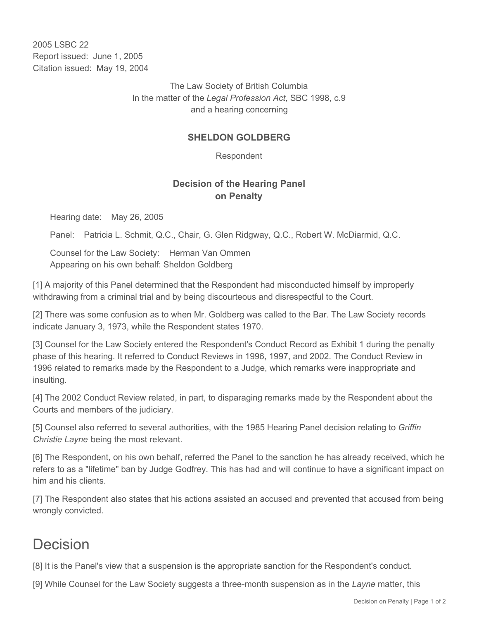2005 LSBC 22 Report issued: June 1, 2005 Citation issued: May 19, 2004

> The Law Society of British Columbia In the matter of the *Legal Profession Act*, SBC 1998, c.9 and a hearing concerning

## **SHELDON GOLDBERG**

Respondent

## **Decision of the Hearing Panel on Penalty**

Hearing date: May 26, 2005

Panel: Patricia L. Schmit, Q.C., Chair, G. Glen Ridgway, Q.C., Robert W. McDiarmid, Q.C.

Counsel for the Law Society: Herman Van Ommen Appearing on his own behalf: Sheldon Goldberg

[1] A majority of this Panel determined that the Respondent had misconducted himself by improperly withdrawing from a criminal trial and by being discourteous and disrespectful to the Court.

[2] There was some confusion as to when Mr. Goldberg was called to the Bar. The Law Society records indicate January 3, 1973, while the Respondent states 1970.

[3] Counsel for the Law Society entered the Respondent's Conduct Record as Exhibit 1 during the penalty phase of this hearing. It referred to Conduct Reviews in 1996, 1997, and 2002. The Conduct Review in 1996 related to remarks made by the Respondent to a Judge, which remarks were inappropriate and insulting.

[4] The 2002 Conduct Review related, in part, to disparaging remarks made by the Respondent about the Courts and members of the judiciary.

[5] Counsel also referred to several authorities, with the 1985 Hearing Panel decision relating to *Griffin Christie Layne* being the most relevant.

[6] The Respondent, on his own behalf, referred the Panel to the sanction he has already received, which he refers to as a "lifetime" ban by Judge Godfrey. This has had and will continue to have a significant impact on him and his clients.

[7] The Respondent also states that his actions assisted an accused and prevented that accused from being wrongly convicted.

## Decision

[8] It is the Panel's view that a suspension is the appropriate sanction for the Respondent's conduct.

[9] While Counsel for the Law Society suggests a three-month suspension as in the *Layne* matter, this